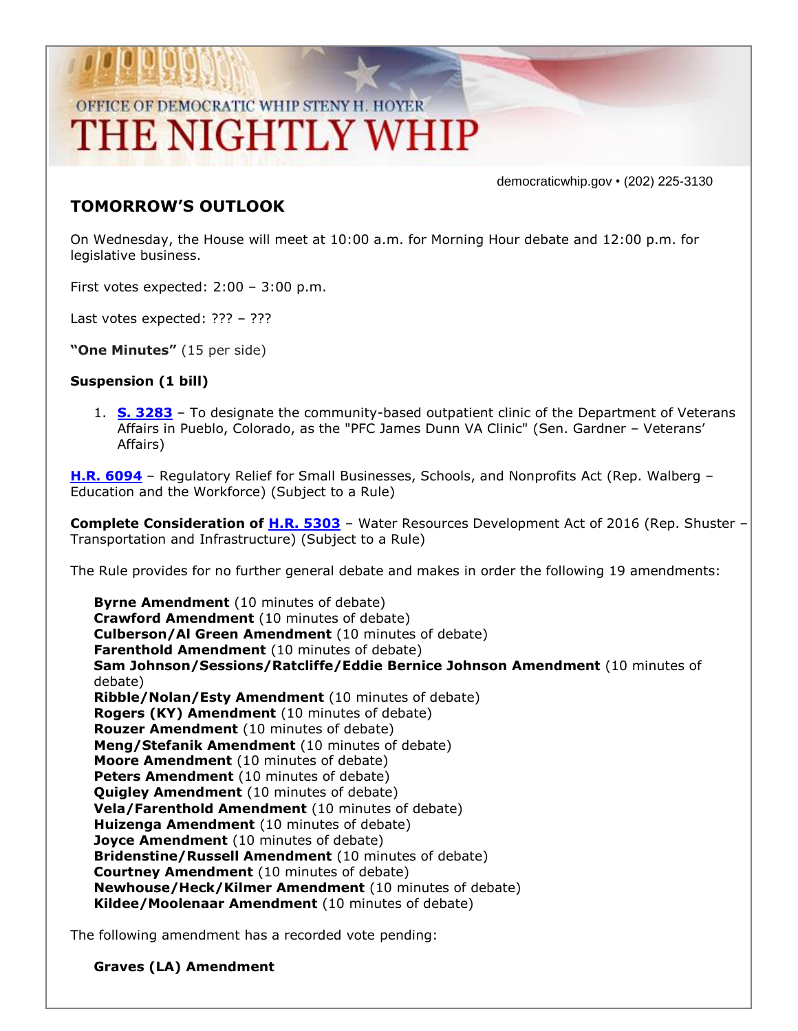## OFFICE OF DEMOCRATIC WHIP STENY H. HOYER THE NIGHTLY WHIP

democraticwhip.gov • (202) 225-3130

## **TOMORROW'S OUTLOOK**

On Wednesday, the House will meet at 10:00 a.m. for Morning Hour debate and 12:00 p.m. for legislative business.

First votes expected: 2:00 – 3:00 p.m.

Last votes expected: ??? – ???

**"One Minutes"** (15 per side)

## **Suspension (1 bill)**

1. **[S. 3283](http://thomas.loc.gov/cgi-bin/bdquery/z?d114:S3283:/)** – To designate the community-based outpatient clinic of the Department of Veterans Affairs in Pueblo, Colorado, as the "PFC James Dunn VA Clinic" (Sen. Gardner – Veterans' Affairs)

**[H.R. 6094](http://thomas.loc.gov/cgi-bin/bdquery/z?d114:HR6094:/)** – Regulatory Relief for Small Businesses, Schools, and Nonprofits Act (Rep. Walberg – Education and the Workforce) (Subject to a Rule)

**Complete Consideration of [H.R. 5303](http://thomas.loc.gov/cgi-bin/bdquery/z?d114:HR5303:/)** – Water Resources Development Act of 2016 (Rep. Shuster – Transportation and Infrastructure) (Subject to a Rule)

The Rule provides for no further general debate and makes in order the following 19 amendments:

**Byrne Amendment** (10 minutes of debate) **Crawford Amendment** (10 minutes of debate) **Culberson/Al Green Amendment** (10 minutes of debate) **Farenthold Amendment** (10 minutes of debate) **Sam Johnson/Sessions/Ratcliffe/Eddie Bernice Johnson Amendment** (10 minutes of debate) **Ribble/Nolan/Esty Amendment** (10 minutes of debate) **Rogers (KY) Amendment** (10 minutes of debate) **Rouzer Amendment** (10 minutes of debate) **Meng/Stefanik Amendment** (10 minutes of debate) **Moore Amendment** (10 minutes of debate) **Peters Amendment** (10 minutes of debate) **Quigley Amendment** (10 minutes of debate) **Vela/Farenthold Amendment** (10 minutes of debate) **Huizenga Amendment** (10 minutes of debate) **Joyce Amendment** (10 minutes of debate) **Bridenstine/Russell Amendment** (10 minutes of debate) **Courtney Amendment** (10 minutes of debate) **Newhouse/Heck/Kilmer Amendment** (10 minutes of debate) **Kildee/Moolenaar Amendment** (10 minutes of debate)

The following amendment has a recorded vote pending:

**Graves (LA) Amendment**